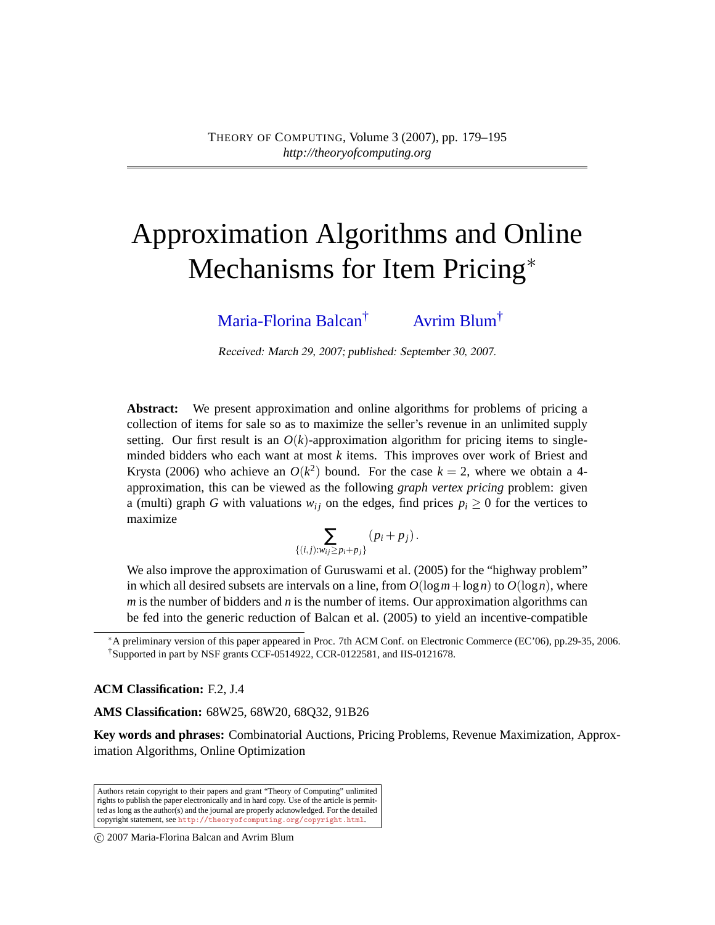# Approximation Algorithms and Online Mechanisms for Item Pricing<sup>\*</sup>

[Maria-Florina Balcan](#page-15-0)† [Avrim Blum](#page-15-1)†

Received: March 29, 2007; published: September 30, 2007.

**Abstract:** We present approximation and online algorithms for problems of pricing a collection of items for sale so as to maximize the seller's revenue in an unlimited supply setting. Our first result is an  $O(k)$ -approximation algorithm for pricing items to singleminded bidders who each want at most *k* items. This improves over work of Briest and Krysta (2006) who achieve an  $O(k^2)$  bound. For the case  $k = 2$ , where we obtain a 4approximation, this can be viewed as the following *graph vertex pricing* problem: given a (multi) graph *G* with valuations  $w_{ij}$  on the edges, find prices  $p_i \geq 0$  for the vertices to maximize

$$
\sum_{\{(i,j):w_{ij}\geq p_i+p_j\}}\left(p_i+p_j\right).
$$

We also improve the approximation of Guruswami et al. (2005) for the "highway problem" in which all desired subsets are intervals on a line, from  $O(log m + log n)$  to  $O(log n)$ , where *m* is the number of bidders and *n* is the number of items. Our approximation algorithms can be fed into the generic reduction of Balcan et al. (2005) to yield an incentive-compatible

**ACM Classification:** F.2, J.4

**AMS Classification:** 68W25, 68W20, 68Q32, 91B26

**Key words and phrases:** Combinatorial Auctions, Pricing Problems, Revenue Maximization, Approximation Algorithms, Online Optimization

Authors retain copyright to their papers and grant "Theory of Computing" unlimited rights to publish the paper electronically and in hard copy. Use of the article is permitted as long as the author(s) and the journal are properly acknowledged. For the detailed copyright statement, see <http://theoryofcomputing.org/copyright.html>.

c 2007 Maria-Florina Balcan and Avrim Blum

<sup>∗</sup>A preliminary version of this paper appeared in Proc. 7th ACM Conf. on Electronic Commerce (EC'06), pp.29-35, 2006. †Supported in part by NSF grants CCF-0514922, CCR-0122581, and IIS-0121678.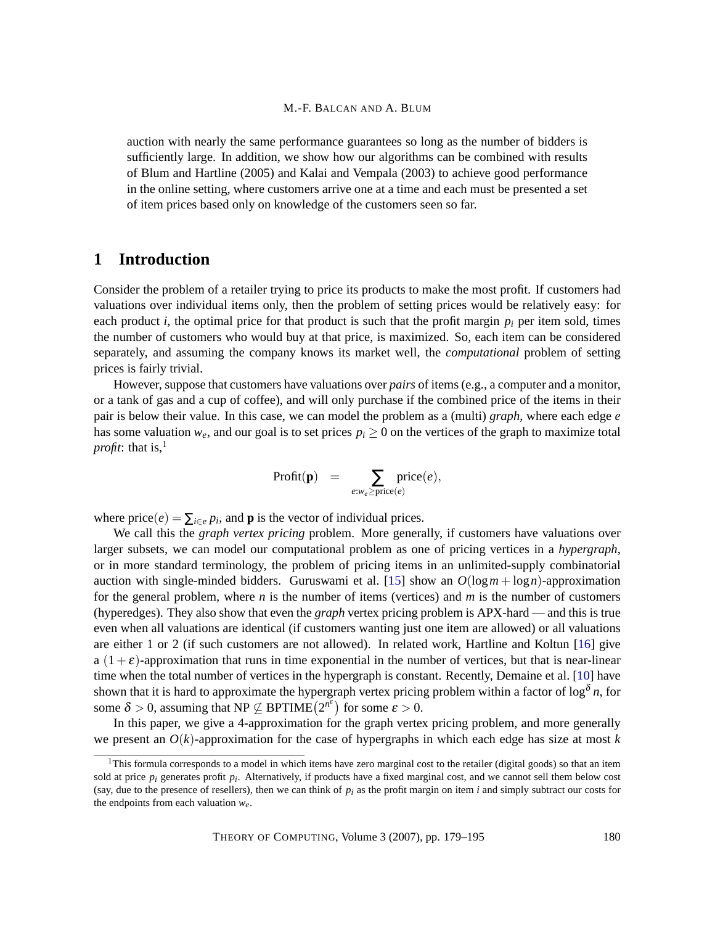auction with nearly the same performance guarantees so long as the number of bidders is sufficiently large. In addition, we show how our algorithms can be combined with results of Blum and Hartline (2005) and Kalai and Vempala (2003) to achieve good performance in the online setting, where customers arrive one at a time and each must be presented a set of item prices based only on knowledge of the customers seen so far.

# <span id="page-1-0"></span>**1 Introduction**

Consider the problem of a retailer trying to price its products to make the most profit. If customers had valuations over individual items only, then the problem of setting prices would be relatively easy: for each product *i*, the optimal price for that product is such that the profit margin  $p_i$  per item sold, times the number of customers who would buy at that price, is maximized. So, each item can be considered separately, and assuming the company knows its market well, the *computational* problem of setting prices is fairly trivial.

However, suppose that customers have valuations over *pairs* of items (e.g., a computer and a monitor, or a tank of gas and a cup of coffee), and will only purchase if the combined price of the items in their pair is below their value. In this case, we can model the problem as a (multi) *graph*, where each edge *e* has some valuation  $w_e$ , and our goal is to set prices  $p_i \ge 0$  on the vertices of the graph to maximize total *profit*: that is, $\frac{1}{2}$ 

$$
\text{Profit}(\mathbf{p}) = \sum_{e:w_e \ge \text{price}(e)} \text{price}(e),
$$

where  $\text{price}(e) = \sum_{i \in e} p_i$ , and **p** is the vector of individual prices.

We call this the *graph vertex pricing* problem. More generally, if customers have valuations over larger subsets, we can model our computational problem as one of pricing vertices in a *hypergraph*, or in more standard terminology, the problem of pricing items in an unlimited-supply combinatorial auction with single-minded bidders. Guruswami et al. [\[15\]](#page-14-0) show an  $O(\log m + \log n)$ -approximation for the general problem, where *n* is the number of items (vertices) and *m* is the number of customers (hyperedges). They also show that even the *graph* vertex pricing problem is APX-hard — and this is true even when all valuations are identical (if customers wanting just one item are allowed) or all valuations are either 1 or 2 (if such customers are not allowed). In related work, Hartline and Koltun [\[16\]](#page-14-1) give  $a(1+\varepsilon)$ -approximation that runs in time exponential in the number of vertices, but that is near-linear time when the total number of vertices in the hypergraph is constant. Recently, Demaine et al. [\[10\]](#page-14-2) have shown that it is hard to approximate the hypergraph vertex pricing problem within a factor of  $\log^\delta n$ , for some  $\delta > 0$ , assuming that  $NP \not\subseteq BPTIME(2^{n^{\epsilon}})$  for some  $\epsilon > 0$ .

In this paper, we give a 4-approximation for the graph vertex pricing problem, and more generally we present an  $O(k)$ -approximation for the case of hypergraphs in which each edge has size at most  $k$ 

 $1$ This formula corresponds to a model in which items have zero marginal cost to the retailer (digital goods) so that an item sold at price  $p_i$  generates profit  $p_i$ . Alternatively, if products have a fixed marginal cost, and we cannot sell them below cost (say, due to the presence of resellers), then we can think of  $p_i$  as the profit margin on item *i* and simply subtract our costs for the endpoints from each valuation *we*.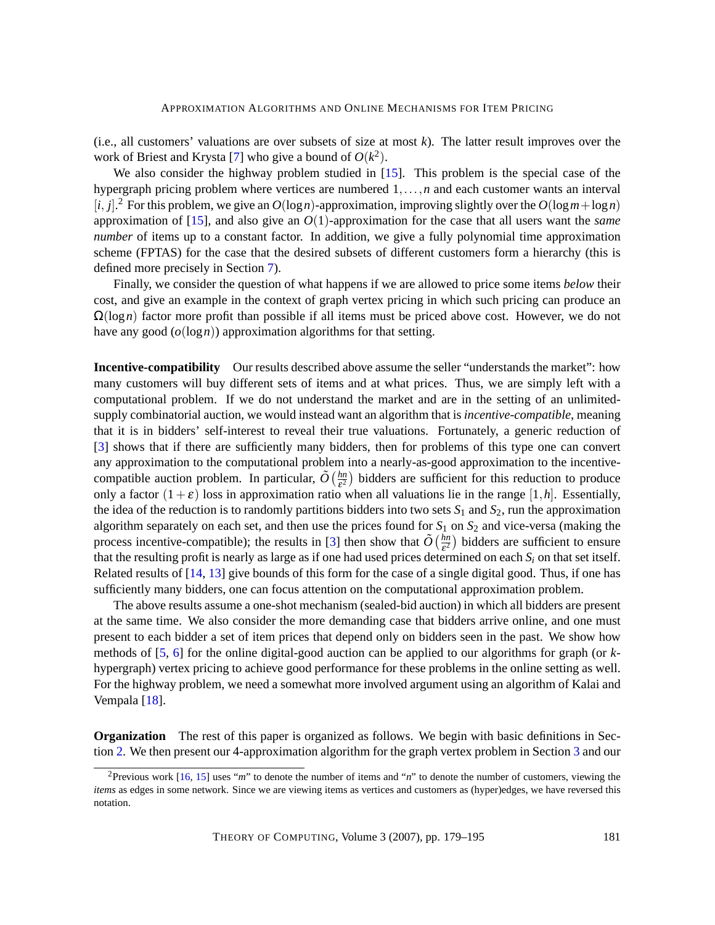(i.e., all customers' valuations are over subsets of size at most  $k$ ). The latter result improves over the work of Briest and Krysta [\[7\]](#page-14-3) who give a bound of  $O(k^2)$ .

We also consider the highway problem studied in [\[15\]](#page-14-0). This problem is the special case of the hypergraph pricing problem where vertices are numbered 1,...,*n* and each customer wants an interval  $[i, j]$ . For this problem, we give an  $O(log n)$ -approximation, improving slightly over the  $O(log m + log n)$ approximation of [\[15\]](#page-14-0), and also give an *O*(1)-approximation for the case that all users want the *same number* of items up to a constant factor. In addition, we give a fully polynomial time approximation scheme (FPTAS) for the case that the desired subsets of different customers form a hierarchy (this is defined more precisely in Section [7\)](#page-8-0).

Finally, we consider the question of what happens if we are allowed to price some items *below* their cost, and give an example in the context of graph vertex pricing in which such pricing can produce an Ω(log*n*) factor more profit than possible if all items must be priced above cost. However, we do not have any good (*o*(log*n*)) approximation algorithms for that setting.

<span id="page-2-0"></span>**Incentive-compatibility** Our results described above assume the seller "understands the market": how many customers will buy different sets of items and at what prices. Thus, we are simply left with a computational problem. If we do not understand the market and are in the setting of an unlimitedsupply combinatorial auction, we would instead want an algorithm that is *incentive-compatible*, meaning that it is in bidders' self-interest to reveal their true valuations. Fortunately, a generic reduction of [\[3\]](#page-13-0) shows that if there are sufficiently many bidders, then for problems of this type one can convert any approximation to the computational problem into a nearly-as-good approximation to the incentivecompatible auction problem. In particular,  $\tilde{O}\left(\frac{hn}{s^2}\right)$  $\frac{hm}{\epsilon^2}$ ) bidders are sufficient for this reduction to produce only a factor  $(1+\varepsilon)$  loss in approximation ratio when all valuations lie in the range [1,*h*]. Essentially, the idea of the reduction is to randomly partitions bidders into two sets  $S_1$  and  $S_2$ , run the approximation algorithm separately on each set, and then use the prices found for  $S_1$  on  $S_2$  and vice-versa (making the process incentive-compatible); the results in [\[3\]](#page-13-0) then show that  $\tilde{O}(\frac{hn}{c^2})$  $\frac{hn}{\epsilon^2}$ ) bidders are sufficient to ensure that the resulting profit is nearly as large as if one had used prices determined on each  $S_i$  on that set itself. Related results of [\[14,](#page-14-4) [13\]](#page-14-5) give bounds of this form for the case of a single digital good. Thus, if one has sufficiently many bidders, one can focus attention on the computational approximation problem.

The above results assume a one-shot mechanism (sealed-bid auction) in which all bidders are present at the same time. We also consider the more demanding case that bidders arrive online, and one must present to each bidder a set of item prices that depend only on bidders seen in the past. We show how methods of [\[5,](#page-13-1) [6\]](#page-14-6) for the online digital-good auction can be applied to our algorithms for graph (or *k*hypergraph) vertex pricing to achieve good performance for these problems in the online setting as well. For the highway problem, we need a somewhat more involved argument using an algorithm of Kalai and Vempala [\[18\]](#page-15-2).

**Organization** The rest of this paper is organized as follows. We begin with basic definitions in Section [2.](#page-3-0) We then present our 4-approximation algorithm for the graph vertex problem in Section [3](#page-3-1) and our

<sup>2</sup>Previous work [\[16,](#page-14-1) [15\]](#page-14-0) uses "*m*" to denote the number of items and "*n*" to denote the number of customers, viewing the *items* as edges in some network. Since we are viewing items as vertices and customers as (hyper)edges, we have reversed this notation.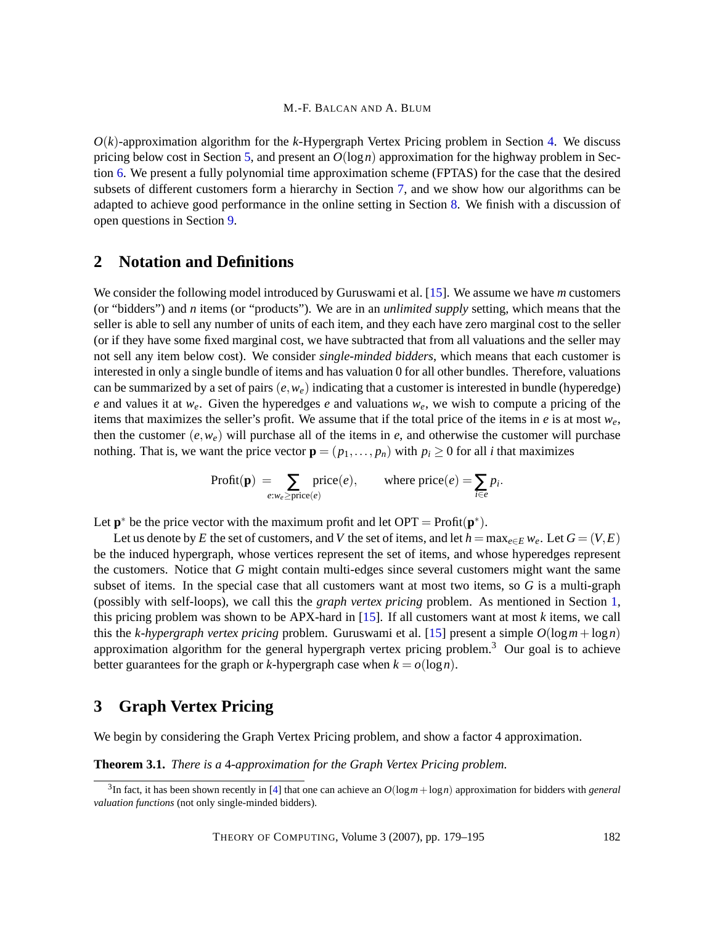$O(k)$ -approximation algorithm for the k-Hypergraph Vertex Pricing problem in Section [4.](#page-4-0) We discuss pricing below cost in Section [5,](#page-6-0) and present an  $O(log n)$  approximation for the highway problem in Section [6.](#page-7-0) We present a fully polynomial time approximation scheme (FPTAS) for the case that the desired subsets of different customers form a hierarchy in Section [7,](#page-8-0) and we show how our algorithms can be adapted to achieve good performance in the online setting in Section [8.](#page-10-0) We finish with a discussion of open questions in Section [9.](#page-12-0)

### <span id="page-3-0"></span>**2 Notation and Definitions**

We consider the following model introduced by Guruswami et al. [\[15\]](#page-14-0). We assume we have *m* customers (or "bidders") and *n* items (or "products"). We are in an *unlimited supply* setting, which means that the seller is able to sell any number of units of each item, and they each have zero marginal cost to the seller (or if they have some fixed marginal cost, we have subtracted that from all valuations and the seller may not sell any item below cost). We consider *single-minded bidders*, which means that each customer is interested in only a single bundle of items and has valuation 0 for all other bundles. Therefore, valuations can be summarized by a set of pairs  $(e, w_e)$  indicating that a customer is interested in bundle (hyperedge) *e* and values it at *we*. Given the hyperedges *e* and valuations *we*, we wish to compute a pricing of the items that maximizes the seller's profit. We assume that if the total price of the items in *e* is at most *we*, then the customer  $(e, w_e)$  will purchase all of the items in  $e$ , and otherwise the customer will purchase nothing. That is, we want the price vector  $\mathbf{p} = (p_1, \ldots, p_n)$  with  $p_i \geq 0$  for all *i* that maximizes

$$
Profit(p) = \sum_{e:w_e \ge price(e)} price(e), \qquad \text{where price}(e) = \sum_{i \in e} p_i.
$$

Let  $\mathbf{p}^*$  be the price vector with the maximum profit and let OPT = Profit $(\mathbf{p}^*)$ .

Let us denote by *E* the set of customers, and *V* the set of items, and let  $h = \max_{e \in E} w_e$ . Let  $G = (V, E)$ be the induced hypergraph, whose vertices represent the set of items, and whose hyperedges represent the customers. Notice that *G* might contain multi-edges since several customers might want the same subset of items. In the special case that all customers want at most two items, so *G* is a multi-graph (possibly with self-loops), we call this the *graph vertex pricing* problem. As mentioned in Section [1,](#page-1-0) this pricing problem was shown to be APX-hard in [\[15\]](#page-14-0). If all customers want at most *k* items, we call this the *k-hypergraph vertex pricing* problem. Guruswami et al. [\[15\]](#page-14-0) present a simple *O*(log*m*+log*n*) approximation algorithm for the general hypergraph vertex pricing problem.<sup>3</sup> Our goal is to achieve better guarantees for the graph or *k*-hypergraph case when  $k = o(\log n)$ .

# <span id="page-3-1"></span>**3 Graph Vertex Pricing**

<span id="page-3-2"></span>We begin by considering the Graph Vertex Pricing problem, and show a factor 4 approximation.

**Theorem 3.1.** *There is a* 4*-approximation for the Graph Vertex Pricing problem.*

<sup>3</sup> In fact, it has been shown recently in [\[4\]](#page-13-2) that one can achieve an *O*(log*m*+log*n*) approximation for bidders with *general valuation functions* (not only single-minded bidders).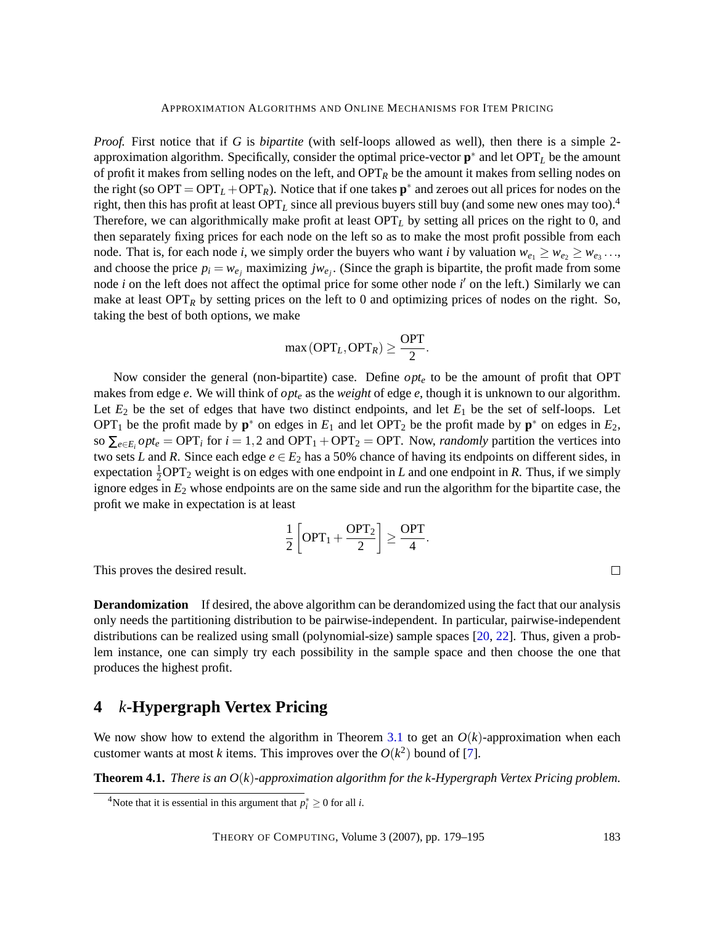*Proof.* First notice that if *G* is *bipartite* (with self-loops allowed as well), then there is a simple 2 approximation algorithm. Specifically, consider the optimal price-vector **p** ∗ and let OPT*<sup>L</sup>* be the amount of profit it makes from selling nodes on the left, and OPT*<sup>R</sup>* be the amount it makes from selling nodes on the right (so  $OPT = OPT_L + OPT_R$ ). Notice that if one takes  $p^*$  and zeroes out all prices for nodes on the right, then this has profit at least OPT*<sup>L</sup>* since all previous buyers still buy (and some new ones may too).<sup>4</sup> Therefore, we can algorithmically make profit at least  $OPT<sub>L</sub>$  by setting all prices on the right to 0, and then separately fixing prices for each node on the left so as to make the most profit possible from each node. That is, for each node *i*, we simply order the buyers who want *i* by valuation  $w_{e_1} \geq w_{e_2} \geq w_{e_3} \dots$ and choose the price  $p_i = w_{e_j}$  maximizing  $j w_{e_j}$ . (Since the graph is bipartite, the profit made from some node  $i$  on the left does not affect the optimal price for some other node  $i'$  on the left.) Similarly we can make at least  $\text{OPT}_R$  by setting prices on the left to 0 and optimizing prices of nodes on the right. So, taking the best of both options, we make

$$
\max(\text{OPT}_L, \text{OPT}_R) \ge \frac{\text{OPT}}{2}.
$$

Now consider the general (non-bipartite) case. Define *opt<sup>e</sup>* to be the amount of profit that OPT makes from edge *e*. We will think of *opt<sup>e</sup>* as the *weight* of edge *e*, though it is unknown to our algorithm. Let  $E_2$  be the set of edges that have two distinct endpoints, and let  $E_1$  be the set of self-loops. Let OPT<sub>1</sub> be the profit made by  $\mathbf{p}^*$  on edges in  $E_1$  and let OPT<sub>2</sub> be the profit made by  $\mathbf{p}^*$  on edges in  $E_2$ , so  $\sum_{e \in E_i} opt_e = \text{OPT}_i$  for  $i = 1, 2$  and  $\text{OPT}_1 + \text{OPT}_2 = \text{OPT}$ . Now, *randomly* partition the vertices into two sets *L* and *R*. Since each edge  $e \in E_2$  has a 50% chance of having its endpoints on different sides, in expectation  $\frac{1}{2}$ OPT<sub>2</sub> weight is on edges with one endpoint in *L* and one endpoint in *R*. Thus, if we simply ignore edges in *E*<sup>2</sup> whose endpoints are on the same side and run the algorithm for the bipartite case, the profit we make in expectation is at least

$$
\frac{1}{2}\left[OPT_1 + \frac{OPT_2}{2}\right] \ge \frac{OPT}{4}
$$

.

This proves the desired result.

<span id="page-4-2"></span>**Derandomization** If desired, the above algorithm can be derandomized using the fact that our analysis only needs the partitioning distribution to be pairwise-independent. In particular, pairwise-independent distributions can be realized using small (polynomial-size) sample spaces [\[20,](#page-15-3) [22\]](#page-15-4). Thus, given a problem instance, one can simply try each possibility in the sample space and then choose the one that produces the highest profit.

# <span id="page-4-0"></span>**4** *k***-Hypergraph Vertex Pricing**

We now show how to extend the algorithm in Theorem [3.1](#page-3-2) to get an  $O(k)$ -approximation when each customer wants at most *k* items. This improves over the  $O(k^2)$  bound of [\[7\]](#page-14-3).

<span id="page-4-1"></span>**Theorem 4.1.** *There is an O*(*k*)*-approximation algorithm for the k-Hypergraph Vertex Pricing problem.*

 $\Box$ 

<sup>&</sup>lt;sup>4</sup>Note that it is essential in this argument that  $p_i^* \ge 0$  for all *i*.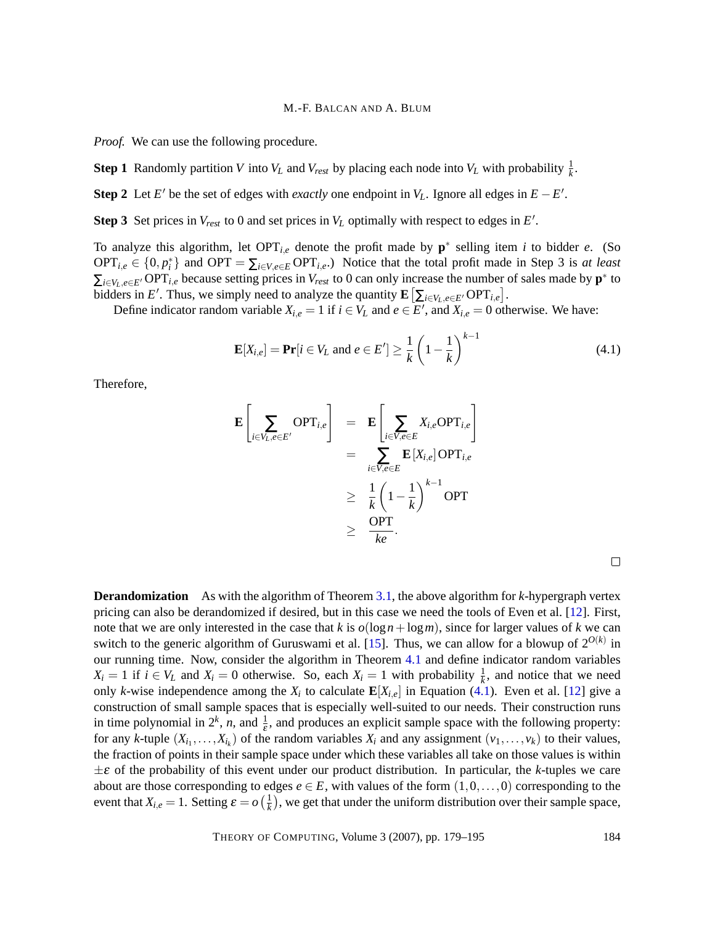*Proof.* We can use the following procedure.

**Step 1** Randomly partition *V* into *V<sub>L</sub>* and *V*<sub>*rest*</sub> by placing each node into *V<sub>L</sub>* with probability  $\frac{1}{k}$ .

**Step 2** Let *E*<sup> $\prime$ </sup> be the set of edges with *exactly* one endpoint in *V*<sub>*L*</sub>. Ignore all edges in  $E - E'$ .

**Step 3** Set prices in  $V_{rest}$  to 0 and set prices in  $V_L$  optimally with respect to edges in  $E'$ .

To analyze this algorithm, let  $OPT_{i,e}$  denote the profit made by  $p^*$  selling item *i* to bidder *e*. (So  $OPT_{i,e} \in \{0, p_i^*\}$  and  $OPT = \sum_{i \in V, e \in E} OPT_{i,e}$ .) Notice that the total profit made in Step 3 is *at least*  $\sum_{i \in V_L, e \in E'} \text{OPT}_{i,e}$  because setting prices in  $V_{rest}$  to 0 can only increase the number of sales made by  $\mathbf{p}^*$  to bidders in *E'*. Thus, we simply need to analyze the quantity  $\mathbf{E}\left[\sum_{i\in V_L, e\in E'} \text{OPT}_{i,e}\right]$ .

Define indicator random variable  $X_{i,e} = 1$  if  $i \in V_L$  and  $e \in E'$ , and  $X_{i,e} = 0$  otherwise. We have:

$$
\mathbf{E}[X_{i,e}] = \mathbf{Pr}[i \in V_L \text{ and } e \in E'] \ge \frac{1}{k} \left(1 - \frac{1}{k}\right)^{k-1}
$$
(4.1)

Therefore,

$$
\mathbf{E}\left[\sum_{i\in V_L, e\in E'} \text{OPT}_{i,e}\right] = \mathbf{E}\left[\sum_{i\in V, e\in E} X_{i,e} \text{OPT}_{i,e}\right] \n= \sum_{i\in V, e\in E} \mathbf{E}\left[X_{i,e}\right] \text{OPT}_{i,e} \n\geq \frac{1}{k} \left(1 - \frac{1}{k}\right)^{k-1} \text{OPT} \n\geq \frac{\text{OPT}}{ke}.
$$

<span id="page-5-0"></span>

<span id="page-5-1"></span>**Derandomization** As with the algorithm of Theorem [3.1,](#page-3-2) the above algorithm for *k*-hypergraph vertex pricing can also be derandomized if desired, but in this case we need the tools of Even et al. [\[12\]](#page-14-7). First, note that we are only interested in the case that *k* is  $o(log n + log m)$ , since for larger values of *k* we can switch to the generic algorithm of Guruswami et al. [\[15\]](#page-14-0). Thus, we can allow for a blowup of  $2^{O(k)}$  in our running time. Now, consider the algorithm in Theorem [4.1](#page-4-1) and define indicator random variables  $X_i = 1$  if  $i \in V_L$  and  $X_i = 0$  otherwise. So, each  $X_i = 1$  with probability  $\frac{1}{k}$ , and notice that we need only *k*-wise independence among the  $X_i$  to calculate  $\mathbf{E}[X_{i,e}]$  in Equation [\(4.1\)](#page-5-0). Even et al. [\[12\]](#page-14-7) give a construction of small sample spaces that is especially well-suited to our needs. Their construction runs in time polynomial in  $2^k$ , *n*, and  $\frac{1}{\epsilon}$ , and produces an explicit sample space with the following property: for any *k*-tuple  $(X_{i_1},...,X_{i_k})$  of the random variables  $X_i$  and any assignment  $(v_1,...,v_k)$  to their values, the fraction of points in their sample space under which these variables all take on those values is within  $\pm \varepsilon$  of the probability of this event under our product distribution. In particular, the *k*-tuples we care about are those corresponding to edges  $e \in E$ , with values of the form  $(1,0,\ldots,0)$  corresponding to the event that  $X_{i,e} = 1$ . Setting  $\varepsilon = o\left(\frac{1}{k}\right)$  $\frac{1}{k}$ ), we get that under the uniform distribution over their sample space,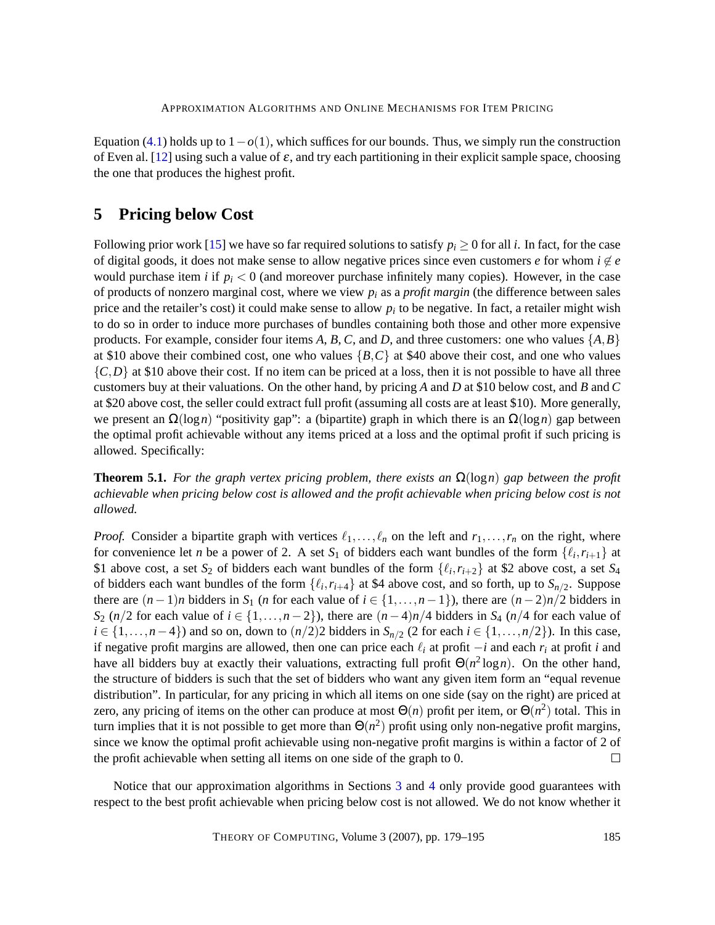Equation [\(4.1\)](#page-5-0) holds up to  $1-o(1)$ , which suffices for our bounds. Thus, we simply run the construction of Even al. [\[12\]](#page-14-7) using such a value of  $\varepsilon$ , and try each partitioning in their explicit sample space, choosing the one that produces the highest profit.

# <span id="page-6-0"></span>**5 Pricing below Cost**

Following prior work [\[15\]](#page-14-0) we have so far required solutions to satisfy  $p_i \ge 0$  for all *i*. In fact, for the case of digital goods, it does not make sense to allow negative prices since even customers *e* for whom  $i \notin e$ would purchase item *i* if  $p_i < 0$  (and moreover purchase infinitely many copies). However, in the case of products of nonzero marginal cost, where we view  $p_i$  as a *profit margin* (the difference between sales price and the retailer's cost) it could make sense to allow *p<sup>i</sup>* to be negative. In fact, a retailer might wish to do so in order to induce more purchases of bundles containing both those and other more expensive products. For example, consider four items  $A$ ,  $B$ ,  $C$ , and  $D$ , and three customers: one who values  $\{A, B\}$ at \$10 above their combined cost, one who values {*B*,*C*} at \$40 above their cost, and one who values  ${C,D}$  at \$10 above their cost. If no item can be priced at a loss, then it is not possible to have all three customers buy at their valuations. On the other hand, by pricing *A* and *D* at \$10 below cost, and *B* and *C* at \$20 above cost, the seller could extract full profit (assuming all costs are at least \$10). More generally, we present an Ω(log*n*) "positivity gap": a (bipartite) graph in which there is an Ω(log*n*) gap between the optimal profit achievable without any items priced at a loss and the optimal profit if such pricing is allowed. Specifically:

**Theorem 5.1.** *For the graph vertex pricing problem, there exists an*  $\Omega(\log n)$  *gap between the profit achievable when pricing below cost is allowed and the profit achievable when pricing below cost is not allowed.*

*Proof.* Consider a bipartite graph with vertices  $\ell_1, \ldots, \ell_n$  on the left and  $r_1, \ldots, r_n$  on the right, where for convenience let *n* be a power of 2. A set  $S_1$  of bidders each want bundles of the form  $\{\ell_i, r_{i+1}\}$  at \$1 above cost, a set  $S_2$  of bidders each want bundles of the form  $\{\ell_i, r_{i+2}\}$  at \$2 above cost, a set  $S_4$ of bidders each want bundles of the form  $\{\ell_i, r_{i+4}\}$  at \$4 above cost, and so forth, up to  $S_{n/2}$ . Suppose there are  $(n-1)n$  bidders in *S*<sub>1</sub> (*n* for each value of  $i \in \{1, ..., n-1\}$ ), there are  $(n-2)n/2$  bidders in *S*<sub>2</sub> (*n*/2 for each value of *i* ∈ {1,...,*n* − 2}), there are  $(n-4)n/4$  bidders in *S*<sub>4</sub> (*n*/4 for each value of *i* ∈ {1,...,*n* − 4}) and so on, down to  $(n/2)$ 2 bidders in *S*<sub>*n*/2</sub> (2 for each *i* ∈ {1,...,*n*/2}). In this case, if negative profit margins are allowed, then one can price each  $\ell_i$  at profit  $-i$  and each  $r_i$  at profit *i* and have all bidders buy at exactly their valuations, extracting full profit  $\Theta(n^2 \log n)$ . On the other hand, the structure of bidders is such that the set of bidders who want any given item form an "equal revenue distribution". In particular, for any pricing in which all items on one side (say on the right) are priced at zero, any pricing of items on the other can produce at most  $\Theta(n)$  profit per item, or  $\Theta(n^2)$  total. This in turn implies that it is not possible to get more than  $\Theta(n^2)$  profit using only non-negative profit margins, since we know the optimal profit achievable using non-negative profit margins is within a factor of 2 of the profit achievable when setting all items on one side of the graph to 0.  $\Box$ 

Notice that our approximation algorithms in Sections [3](#page-3-1) and [4](#page-4-0) only provide good guarantees with respect to the best profit achievable when pricing below cost is not allowed. We do not know whether it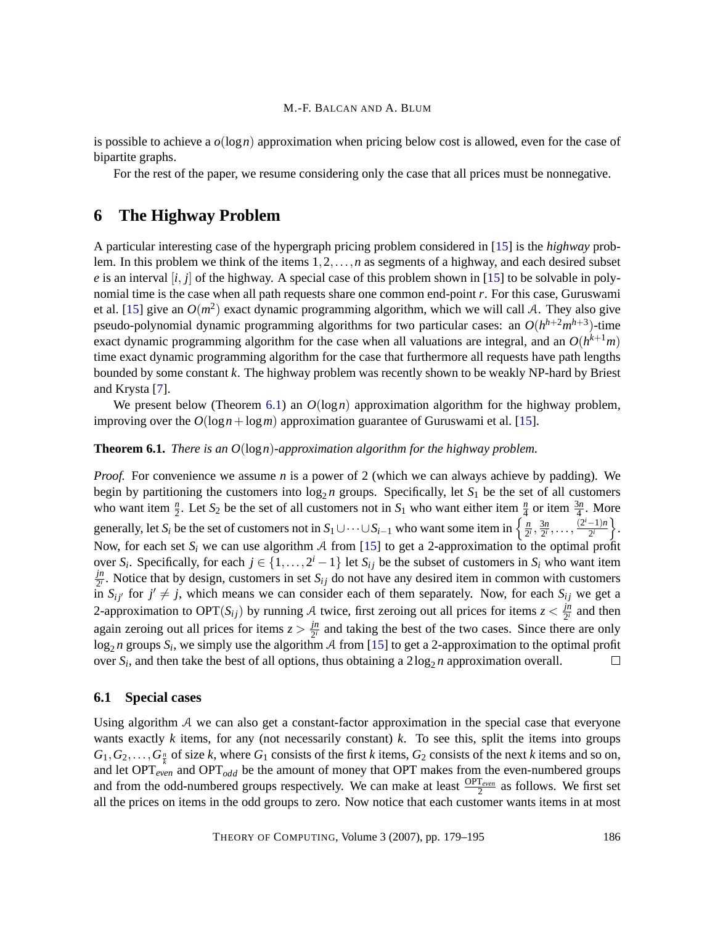is possible to achieve a  $o(\log n)$  approximation when pricing below cost is allowed, even for the case of bipartite graphs.

For the rest of the paper, we resume considering only the case that all prices must be nonnegative.

# <span id="page-7-0"></span>**6 The Highway Problem**

A particular interesting case of the hypergraph pricing problem considered in [\[15\]](#page-14-0) is the *highway* problem. In this problem we think of the items 1,2,...,*n* as segments of a highway, and each desired subset *e* is an interval  $[i, j]$  of the highway. A special case of this problem shown in [\[15\]](#page-14-0) to be solvable in polynomial time is the case when all path requests share one common end-point *r*. For this case, Guruswami et al. [\[15\]](#page-14-0) give an  $O(m^2)$  exact dynamic programming algorithm, which we will call A. They also give pseudo-polynomial dynamic programming algorithms for two particular cases: an  $O(h^{h+2}m^{h+3})$ -time exact dynamic programming algorithm for the case when all valuations are integral, and an  $O(h^{k+1}m)$ time exact dynamic programming algorithm for the case that furthermore all requests have path lengths bounded by some constant *k*. The highway problem was recently shown to be weakly NP-hard by Briest and Krysta [\[7\]](#page-14-3).

We present below (Theorem [6.1\)](#page-7-1) an *O*(log*n*) approximation algorithm for the highway problem, improving over the  $O(log n + log m)$  approximation guarantee of Guruswami et al. [\[15\]](#page-14-0).

### <span id="page-7-1"></span>**Theorem 6.1.** *There is an O*(log*n*)*-approximation algorithm for the highway problem.*

*Proof.* For convenience we assume *n* is a power of 2 (which we can always achieve by padding). We begin by partitioning the customers into  $\log_2 n$  groups. Specifically, let  $S_1$  be the set of all customers who want item  $\frac{n}{2}$ . Let *S*<sub>2</sub> be the set of all customers not in *S*<sub>1</sub> who want either item  $\frac{n}{4}$  or item  $\frac{3n}{4}$ . More generally, let *S*<sub>*i*</sub> be the set of customers not in  $S_1 \cup \cdots \cup S_{i-1}$  who want some item in  $\left\{\frac{n}{2^n}\right\}$  $\frac{3n}{2^i}, \ldots, \frac{(2^i-1)n}{2^i}$  $\frac{-1}{2^i}\}$ .  $\frac{n}{2^i}, \frac{3n}{2^i}$ Now, for each set  $S_i$  we can use algorithm A from [\[15\]](#page-14-0) to get a 2-approximation to the optimal profit over  $S_i$ . Specifically, for each  $j \in \{1, ..., 2^i - 1\}$  let  $S_{ij}$  be the subset of customers in  $S_i$  who want item *jn*  $\frac{j^n}{2^i}$ . Notice that by design, customers in set *S*<sub>*ij*</sub> do not have any desired item in common with customers in  $S_{ij'}$  for  $j' \neq j$ , which means we can consider each of them separately. Now, for each  $S_{ij}$  we get a 2-approximation to OPT( $S_{ij}$ ) by running A twice, first zeroing out all prices for items  $z < \frac{jn}{2i}$  $\frac{J^n}{2^i}$  and then again zeroing out all prices for items  $z > \frac{jn}{2i}$  $\frac{j^n}{2^i}$  and taking the best of the two cases. Since there are only  $log_2 n$  groups  $S_i$ , we simply use the algorithm A from [\[15\]](#page-14-0) to get a 2-approximation to the optimal profit over  $S_i$ , and then take the best of all options, thus obtaining a  $2\log_2 n$  approximation overall.  $\Box$ 

#### **6.1 Special cases**

Using algorithm A we can also get a constant-factor approximation in the special case that everyone wants exactly  $k$  items, for any (not necessarily constant)  $k$ . To see this, split the items into groups  $G_1, G_2, \ldots, G_{\frac{n}{k}}$  of size *k*, where  $G_1$  consists of the first *k* items,  $G_2$  consists of the next *k* items and so on, and let  $OPT_{even}$  and  $OPT_{odd}$  be the amount of money that OPT makes from the even-numbered groups and from the odd-numbered groups respectively. We can make at least  $\frac{OPT_{even}}{2}$  as follows. We first set all the prices on items in the odd groups to zero. Now notice that each customer wants items in at most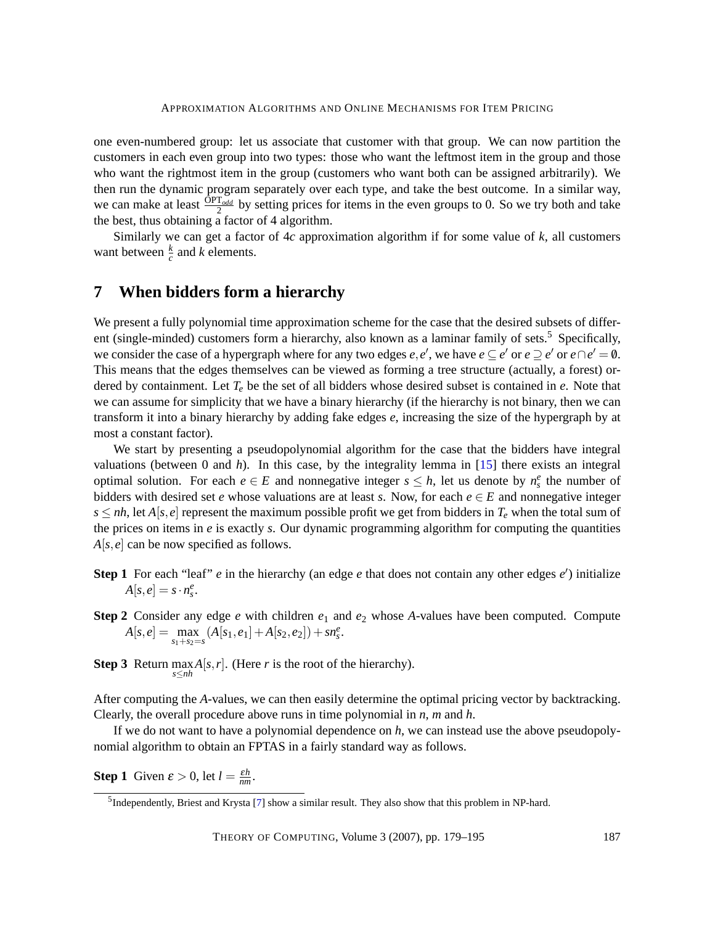one even-numbered group: let us associate that customer with that group. We can now partition the customers in each even group into two types: those who want the leftmost item in the group and those who want the rightmost item in the group (customers who want both can be assigned arbitrarily). We then run the dynamic program separately over each type, and take the best outcome. In a similar way, we can make at least  $\frac{\text{OPT}_{odd}}{2}$  by setting prices for items in the even groups to 0. So we try both and take the best, thus obtaining a factor of 4 algorithm.

Similarly we can get a factor of 4*c* approximation algorithm if for some value of *k*, all customers want between  $\frac{k}{c}$  and *k* elements.

# <span id="page-8-0"></span>**7 When bidders form a hierarchy**

We present a fully polynomial time approximation scheme for the case that the desired subsets of different (single-minded) customers form a hierarchy, also known as a laminar family of sets.<sup>5</sup> Specifically, we consider the case of a hypergraph where for any two edges  $e, e'$ , we have  $e \subseteq e'$  or  $e \supseteq e'$  or  $e \cap e' = \emptyset$ . This means that the edges themselves can be viewed as forming a tree structure (actually, a forest) ordered by containment. Let *T<sup>e</sup>* be the set of all bidders whose desired subset is contained in *e*. Note that we can assume for simplicity that we have a binary hierarchy (if the hierarchy is not binary, then we can transform it into a binary hierarchy by adding fake edges *e*, increasing the size of the hypergraph by at most a constant factor).

We start by presenting a pseudopolynomial algorithm for the case that the bidders have integral valuations (between 0 and *h*). In this case, by the integrality lemma in [\[15\]](#page-14-0) there exists an integral optimal solution. For each  $e \in E$  and nonnegative integer  $s \leq h$ , let us denote by  $n_s^e$  the number of bidders with desired set *e* whose valuations are at least *s*. Now, for each  $e \in E$  and nonnegative integer  $s \le nh$ , let  $A[s, e]$  represent the maximum possible profit we get from bidders in  $T_e$  when the total sum of the prices on items in *e* is exactly *s*. Our dynamic programming algorithm for computing the quantities *A*[*s*,*e*] can be now specified as follows.

- **Step 1** For each "leaf" *e* in the hierarchy (an edge *e* that does not contain any other edges *e'*) initialize  $A[s,e] = s \cdot n_s^e$ .
- **Step 2** Consider any edge *e* with children  $e_1$  and  $e_2$  whose *A*-values have been computed. Compute  $A[s, e] = \max_{s_1+s_2=s} (A[s_1, e_1] + A[s_2, e_2]) + sn_s^e.$
- **Step 3** Return  $\max_{s \le nh} A[s, r]$ . (Here *r* is the root of the hierarchy).

After computing the *A*-values, we can then easily determine the optimal pricing vector by backtracking. Clearly, the overall procedure above runs in time polynomial in *n*, *m* and *h*.

If we do not want to have a polynomial dependence on *h*, we can instead use the above pseudopolynomial algorithm to obtain an FPTAS in a fairly standard way as follows.

**Step 1** Given  $\varepsilon > 0$ , let  $l = \frac{\varepsilon h}{nm}$ .

<sup>&</sup>lt;sup>5</sup>Independently, Briest and Krysta [\[7\]](#page-14-3) show a similar result. They also show that this problem in NP-hard.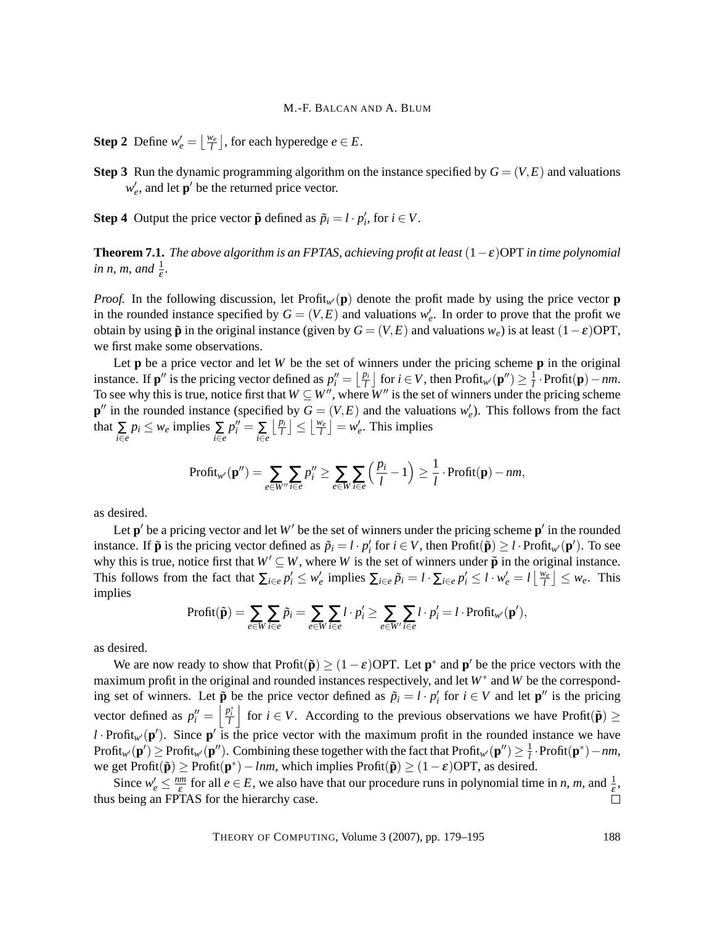**Step 2** Define  $w'_e = \left\lfloor \frac{w_e}{l} \right\rfloor$ , for each hyperedge  $e \in E$ .

**Step 3** Run the dynamic programming algorithm on the instance specified by  $G = (V, E)$  and valuations  $w_e'$ , and let  $p'$  be the returned price vector.

**Step 4** Output the price vector  $\tilde{\mathbf{p}}$  defined as  $\tilde{p}_i = l \cdot p'_i$ , for  $i \in V$ .

**Theorem 7.1.** *The above algorithm is an FPTAS, achieving profit at least*  $(1 - \varepsilon)$ OPT *in time polynomial in n, m, and*  $\frac{1}{\varepsilon}$ *.* 

*Proof.* In the following discussion, let Profit<sub>*w*</sub>( $\bf{p}$ ) denote the profit made by using the price vector **p** in the rounded instance specified by  $G = (V, E)$  and valuations  $w'_{e}$ . In order to prove that the profit we obtain by using  $\tilde{p}$  in the original instance (given by  $G = (V, E)$  and valuations  $w_e$ ) is at least  $(1 - \varepsilon)$ OPT, we first make some observations.

Let **p** be a price vector and let *W* be the set of winners under the pricing scheme **p** in the original instance. If  $\mathbf{p}''$  is the pricing vector defined as  $p''_i = \lfloor \frac{p_i}{l} \rfloor$  for  $i \in V$ , then Profit<sub>w</sub> $(\mathbf{p}'') \geq \frac{1}{l}$ *l* ·Profit(**p**)−*nm*. To see why this is true, notice first that  $W \subseteq W''$ , where  $W''$  is the set of winners under the pricing scheme  $\mathbf{p}''$  in the rounded instance (specified by  $G = (V, E)$  and the valuations  $w'_e$ ). This follows from the fact that  $\sum_{i \in e} p_i \leq w_e$  implies  $\sum_{i \in e}$  $p_i'' = \sum_{i \in e}$  $\left\lfloor \frac{p_i}{l} \right\rfloor \leq \left\lfloor \frac{w_e}{l} \right\rfloor = w'_e$ . This implies

$$
\text{Profit}_{w'}(\mathbf{p}'') = \sum_{e \in W''} \sum_{i \in e} p_i'' \ge \sum_{e \in W} \sum_{i \in e} \left(\frac{p_i}{l} - 1\right) \ge \frac{1}{l} \cdot \text{Profit}(\mathbf{p}) - nm,
$$

as desired.

Let  $p'$  be a pricing vector and let  $W'$  be the set of winners under the pricing scheme  $p'$  in the rounded instance. If  $\tilde{\mathbf{p}}$  is the pricing vector defined as  $\tilde{p}_i = l \cdot p'_i$  for  $i \in V$ , then  $\text{Profit}(\tilde{\mathbf{p}}) \geq l \cdot \text{Profit}_{w'}(\mathbf{p}')$ . To see why this is true, notice first that  $W' \subseteq W$ , where *W* is the set of winners under  $\tilde{\mathbf{p}}$  in the original instance. This follows from the fact that  $\sum_{i \in e} p'_i \leq w'_e$  implies  $\sum_{i \in e} \tilde{p}_i = l \cdot \sum_{i \in e} p'_i \leq l \cdot w'_e = l \left\lfloor \frac{w_e}{l} \right\rfloor \leq w_e$ . This implies

$$
\text{Profit}(\tilde{\mathbf{p}}) = \sum_{e \in W} \sum_{i \in e} \tilde{p}_i = \sum_{e \in W} \sum_{i \in e} l \cdot p'_i \ge \sum_{e \in W'} \sum_{i \in e} l \cdot p'_i = l \cdot \text{Profit}_{w'}(\mathbf{p}'),
$$

as desired.

We are now ready to show that  $\text{Profit}(\tilde{\mathbf{p}}) \geq (1 - \varepsilon) \text{OPT}$ . Let  $\mathbf{p}^*$  and  $\mathbf{p}'$  be the price vectors with the maximum profit in the original and rounded instances respectively, and let *W*<sup>∗</sup> and *W* be the corresponding set of winners. Let  $\tilde{\mathbf{p}}$  be the price vector defined as  $\tilde{p}_i = l \cdot p'_i$  for  $i \in V$  and let  $\mathbf{p}''$  is the pricing vector defined as  $p_i'' = \left| \frac{p_i^*}{l} \right|$  for  $i \in V$ . According to the previous observations we have Profit $(\tilde{\mathbf{p}}) \geq$ *l* · Profit<sub>w</sub> $(\mathbf{p}')$ . Since  $\mathbf{p}'$  is the price vector with the maximum profit in the rounded instance we have  $\text{Profit}_{w'}(\mathbf{p}') \ge \text{Profit}_{w'}(\mathbf{p}'')$ . Combining these together with the fact that  $\text{Profit}_{w'}(\mathbf{p}'') \ge \frac{1}{l}$ *l* ·Profit(**p** ∗ )−*nm*, we get Profit $(\tilde{\mathbf{p}}) \geq \text{Profit}(\mathbf{p}^*) - \text{Inm}$ , which implies Profit $(\tilde{\mathbf{p}}) \geq (1 - \varepsilon) \text{OPT}$ , as desired.

Since  $w'_e \leq \frac{nm}{\varepsilon}$  $\frac{dm}{\varepsilon}$  for all  $e \in E$ , we also have that our procedure runs in polynomial time in *n*, *m*, and  $\frac{1}{\varepsilon}$ , thus being an FPTAS for the hierarchy case.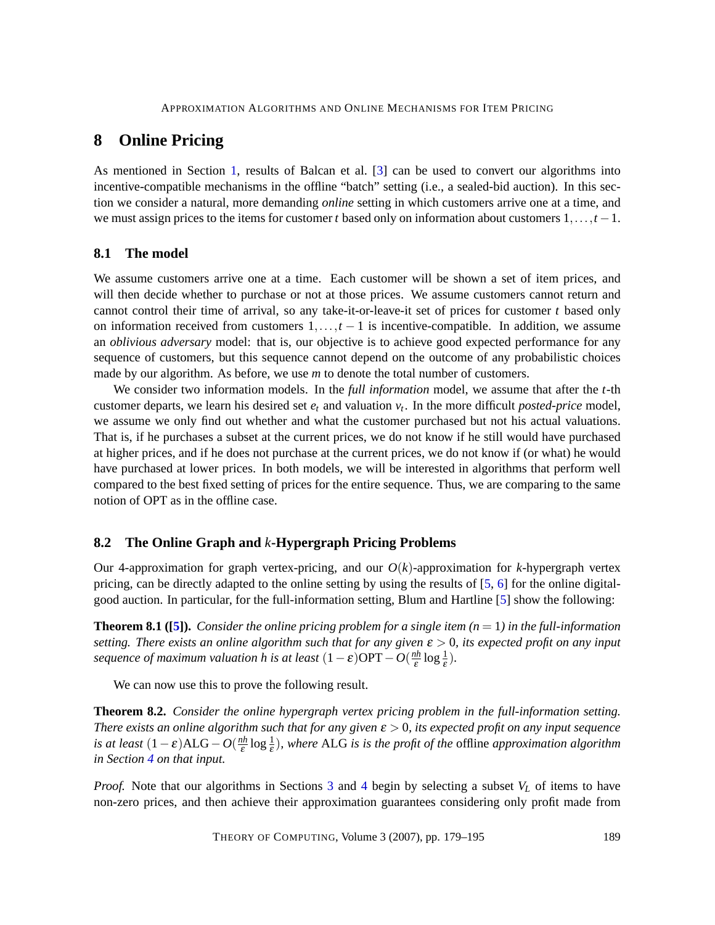# <span id="page-10-0"></span>**8 Online Pricing**

As mentioned in Section [1,](#page-1-0) results of Balcan et al. [\[3\]](#page-13-0) can be used to convert our algorithms into incentive-compatible mechanisms in the offline "batch" setting (i.e., a sealed-bid auction). In this section we consider a natural, more demanding *online* setting in which customers arrive one at a time, and we must assign prices to the items for customer *t* based only on information about customers 1,...,*t* −1.

### **8.1 The model**

We assume customers arrive one at a time. Each customer will be shown a set of item prices, and will then decide whether to purchase or not at those prices. We assume customers cannot return and cannot control their time of arrival, so any take-it-or-leave-it set of prices for customer *t* based only on information received from customers 1,...,*t* − 1 is incentive-compatible. In addition, we assume an *oblivious adversary* model: that is, our objective is to achieve good expected performance for any sequence of customers, but this sequence cannot depend on the outcome of any probabilistic choices made by our algorithm. As before, we use *m* to denote the total number of customers.

We consider two information models. In the *full information* model, we assume that after the *t*-th customer departs, we learn his desired set  $e_t$  and valuation  $v_t$ . In the more difficult *posted-price* model, we assume we only find out whether and what the customer purchased but not his actual valuations. That is, if he purchases a subset at the current prices, we do not know if he still would have purchased at higher prices, and if he does not purchase at the current prices, we do not know if (or what) he would have purchased at lower prices. In both models, we will be interested in algorithms that perform well compared to the best fixed setting of prices for the entire sequence. Thus, we are comparing to the same notion of OPT as in the offline case.

#### <span id="page-10-2"></span>**8.2 The Online Graph and** *k***-Hypergraph Pricing Problems**

Our 4-approximation for graph vertex-pricing, and our  $O(k)$ -approximation for k-hypergraph vertex pricing, can be directly adapted to the online setting by using the results of [\[5,](#page-13-1) [6\]](#page-14-6) for the online digitalgood auction. In particular, for the full-information setting, Blum and Hartline [\[5\]](#page-13-1) show the following:

<span id="page-10-1"></span>**Theorem 8.1 ([\[5\]](#page-13-1)).** *Consider the online pricing problem for a single item*  $(n = 1)$  *in the full-information setting. There exists an online algorithm such that for any given* ε > 0*, its expected profit on any input sequence of maximum valuation h is at least*  $(1 - \varepsilon)$ OPT  $- O(\frac{nh}{\varepsilon})$  $rac{ih}{\varepsilon} \log \frac{1}{\varepsilon}$ ).

We can now use this to prove the following result.

<span id="page-10-3"></span>**Theorem 8.2.** *Consider the online hypergraph vertex pricing problem in the full-information setting. There exists an online algorithm such that for any given* ε > 0*, its expected profit on any input sequence is at least*  $(1 - \varepsilon)ALG - O(\frac{nh}{\varepsilon})$  $\frac{dh}{\varepsilon} \log \frac{1}{\varepsilon}$ ), where ALG is is the profit of the offline *approximation algorithm in Section [4](#page-4-0) on that input.*

*Proof.* Note that our algorithms in Sections [3](#page-3-1) and [4](#page-4-0) begin by selecting a subset  $V_L$  of items to have non-zero prices, and then achieve their approximation guarantees considering only profit made from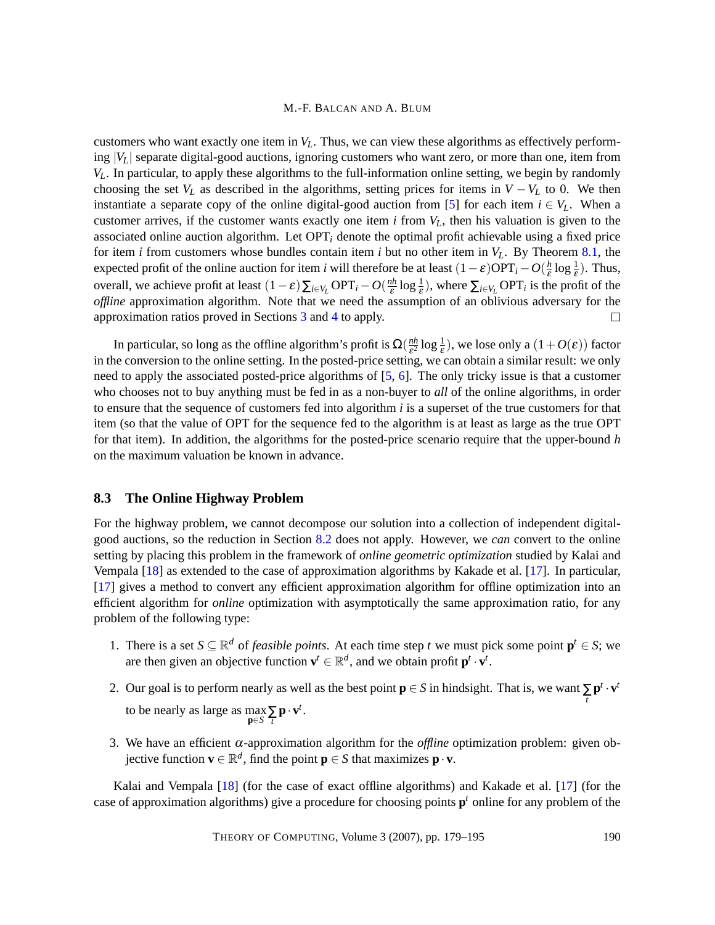customers who want exactly one item in  $V_L$ . Thus, we can view these algorithms as effectively performing |*VL*| separate digital-good auctions, ignoring customers who want zero, or more than one, item from *VL*. In particular, to apply these algorithms to the full-information online setting, we begin by randomly choosing the set  $V_L$  as described in the algorithms, setting prices for items in  $V - V_L$  to 0. We then instantiate a separate copy of the online digital-good auction from [\[5\]](#page-13-1) for each item  $i \in V_L$ . When a customer arrives, if the customer wants exactly one item *i* from *VL*, then his valuation is given to the associated online auction algorithm. Let OPT*<sup>i</sup>* denote the optimal profit achievable using a fixed price for item *i* from customers whose bundles contain item *i* but no other item in *VL*. By Theorem [8.1,](#page-10-1) the expected profit of the online auction for item *i* will therefore be at least  $(1 - \varepsilon) \text{OPT}_i - O(\frac{h}{\varepsilon})$  $\frac{h}{\varepsilon} \log \frac{1}{\varepsilon}$ ). Thus, overall, we achieve profit at least  $(1 - \varepsilon) \sum_{i \in V_L} \text{OPT}_i - O(\frac{nh}{\varepsilon})$  $\frac{dh}{\varepsilon} \log \frac{1}{\varepsilon}$ , where  $\sum_{i \in V_L} \text{OPT}_i$  is the profit of the *offline* approximation algorithm. Note that we need the assumption of an oblivious adversary for the approximation ratios proved in Sections [3](#page-3-1) and [4](#page-4-0) to apply.  $\Box$ 

In particular, so long as the offline algorithm's profit is  $\Omega(\frac{nh}{c^2})$  $\frac{n h}{\varepsilon^2} \log \frac{1}{\varepsilon}$ , we lose only a  $(1+O(\varepsilon))$  factor in the conversion to the online setting. In the posted-price setting, we can obtain a similar result: we only need to apply the associated posted-price algorithms of [\[5,](#page-13-1) [6\]](#page-14-6). The only tricky issue is that a customer who chooses not to buy anything must be fed in as a non-buyer to *all* of the online algorithms, in order to ensure that the sequence of customers fed into algorithm *i* is a superset of the true customers for that item (so that the value of OPT for the sequence fed to the algorithm is at least as large as the true OPT for that item). In addition, the algorithms for the posted-price scenario require that the upper-bound *h* on the maximum valuation be known in advance.

#### <span id="page-11-1"></span>**8.3 The Online Highway Problem**

For the highway problem, we cannot decompose our solution into a collection of independent digitalgood auctions, so the reduction in Section [8.2](#page-10-2) does not apply. However, we *can* convert to the online setting by placing this problem in the framework of *online geometric optimization* studied by Kalai and Vempala [\[18\]](#page-15-2) as extended to the case of approximation algorithms by Kakade et al. [\[17\]](#page-14-8). In particular, [\[17\]](#page-14-8) gives a method to convert any efficient approximation algorithm for offline optimization into an efficient algorithm for *online* optimization with asymptotically the same approximation ratio, for any problem of the following type:

- 1. There is a set  $S \subseteq \mathbb{R}^d$  of *feasible points*. At each time step *t* we must pick some point  $p^t \in S$ ; we are then given an objective function  $\mathbf{v}^t \in \mathbb{R}^d$ , and we obtain profit  $\mathbf{p}^t \cdot \mathbf{v}^t$ .
- 2. Our goal is to perform nearly as well as the best point  $\mathbf{p} \in S$  in hindsight. That is, we want  $\sum_{t} \mathbf{p}^{t} \cdot \mathbf{v}^{t}$ 
	- to be nearly as large as  $\max_{\mathbf{p} \in S} \sum_{t} \mathbf{p} \cdot \mathbf{v}^{t}$ .
- <span id="page-11-0"></span>3. We have an efficient  $\alpha$ -approximation algorithm for the *offline* optimization problem: given objective function  $\mathbf{v} \in \mathbb{R}^d$ , find the point  $\mathbf{p} \in S$  that maximizes  $\mathbf{p} \cdot \mathbf{v}$ .

Kalai and Vempala [\[18\]](#page-15-2) (for the case of exact offline algorithms) and Kakade et al. [\[17\]](#page-14-8) (for the case of approximation algorithms) give a procedure for choosing points **p** *<sup>t</sup>* online for any problem of the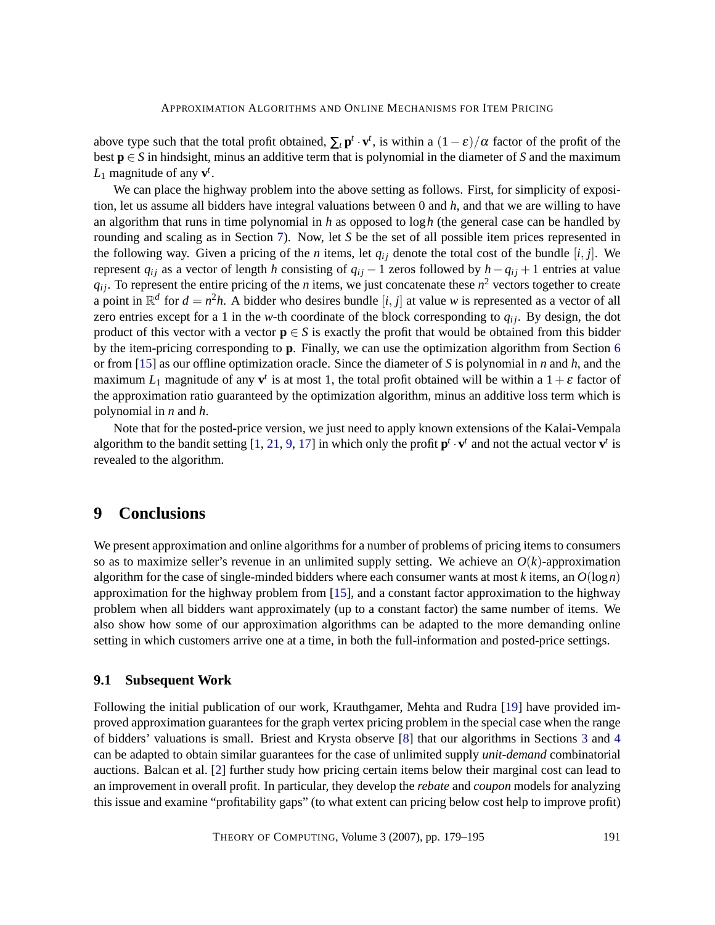above type such that the total profit obtained,  $\sum_t \mathbf{p}^t \cdot \mathbf{v}^t$ , is within a  $(1-\varepsilon)/\alpha$  factor of the profit of the best  $p \in S$  in hindsight, minus an additive term that is polynomial in the diameter of *S* and the maximum  $L_1$  magnitude of any  $\mathbf{v}^t$ .

We can place the highway problem into the above setting as follows. First, for simplicity of exposition, let us assume all bidders have integral valuations between 0 and *h*, and that we are willing to have an algorithm that runs in time polynomial in *h* as opposed to log*h* (the general case can be handled by rounding and scaling as in Section [7\)](#page-8-0). Now, let *S* be the set of all possible item prices represented in the following way. Given a pricing of the *n* items, let  $q_{ij}$  denote the total cost of the bundle  $[i, j]$ . We represent  $q_{ij}$  as a vector of length *h* consisting of  $q_{ij}$  − 1 zeros followed by  $h - q_{ij} + 1$  entries at value  $q_{ij}$ . To represent the entire pricing of the *n* items, we just concatenate these  $n^2$  vectors together to create a point in  $\mathbb{R}^d$  for  $d = n^2h$ . A bidder who desires bundle [*i*, *j*] at value *w* is represented as a vector of all zero entries except for a 1 in the *w*-th coordinate of the block corresponding to  $q_{ij}$ . By design, the dot product of this vector with a vector  $\mathbf{p} \in S$  is exactly the profit that would be obtained from this bidder by the item-pricing corresponding to **p**. Finally, we can use the optimization algorithm from Section [6](#page-7-0) or from [\[15\]](#page-14-0) as our offline optimization oracle. Since the diameter of *S* is polynomial in *n* and *h*, and the maximum  $L_1$  magnitude of any  $\mathbf{v}^t$  is at most 1, the total profit obtained will be within a  $1+\varepsilon$  factor of the approximation ratio guaranteed by the optimization algorithm, minus an additive loss term which is polynomial in *n* and *h*.

Note that for the posted-price version, we just need to apply known extensions of the Kalai-Vempala algorithm to the bandit setting  $[1, 21, 9, 17]$  $[1, 21, 9, 17]$  $[1, 21, 9, 17]$  $[1, 21, 9, 17]$  $[1, 21, 9, 17]$  $[1, 21, 9, 17]$  $[1, 21, 9, 17]$  in which only the profit  $\mathbf{p}^t \cdot \mathbf{v}^t$  and not the actual vector  $\mathbf{v}^t$  is revealed to the algorithm.

## <span id="page-12-0"></span>**9 Conclusions**

We present approximation and online algorithms for a number of problems of pricing items to consumers so as to maximize seller's revenue in an unlimited supply setting. We achieve an  $O(k)$ -approximation algorithm for the case of single-minded bidders where each consumer wants at most *k* items, an  $O(\log n)$ approximation for the highway problem from [\[15\]](#page-14-0), and a constant factor approximation to the highway problem when all bidders want approximately (up to a constant factor) the same number of items. We also show how some of our approximation algorithms can be adapted to the more demanding online setting in which customers arrive one at a time, in both the full-information and posted-price settings.

### <span id="page-12-1"></span>**9.1 Subsequent Work**

Following the initial publication of our work, Krauthgamer, Mehta and Rudra [\[19\]](#page-15-6) have provided improved approximation guarantees for the graph vertex pricing problem in the special case when the range of bidders' valuations is small. Briest and Krysta observe [\[8\]](#page-14-10) that our algorithms in Sections [3](#page-3-1) and [4](#page-4-0) can be adapted to obtain similar guarantees for the case of unlimited supply *unit-demand* combinatorial auctions. Balcan et al. [\[2\]](#page-13-4) further study how pricing certain items below their marginal cost can lead to an improvement in overall profit. In particular, they develop the *rebate* and *coupon* models for analyzing this issue and examine "profitability gaps" (to what extent can pricing below cost help to improve profit)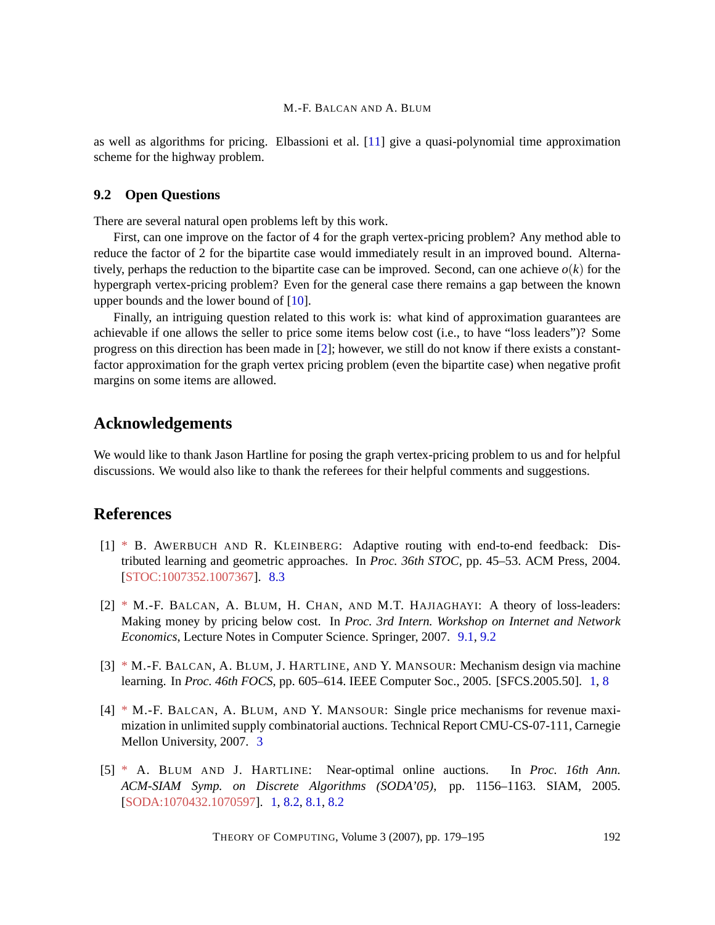as well as algorithms for pricing. Elbassioni et al. [\[11\]](#page-14-11) give a quasi-polynomial time approximation scheme for the highway problem.

### <span id="page-13-5"></span>**9.2 Open Questions**

There are several natural open problems left by this work.

First, can one improve on the factor of 4 for the graph vertex-pricing problem? Any method able to reduce the factor of 2 for the bipartite case would immediately result in an improved bound. Alternatively, perhaps the reduction to the bipartite case can be improved. Second, can one achieve  $o(k)$  for the hypergraph vertex-pricing problem? Even for the general case there remains a gap between the known upper bounds and the lower bound of [\[10\]](#page-14-2).

Finally, an intriguing question related to this work is: what kind of approximation guarantees are achievable if one allows the seller to price some items below cost (i.e., to have "loss leaders")? Some progress on this direction has been made in [\[2\]](#page-13-4); however, we still do not know if there exists a constantfactor approximation for the graph vertex pricing problem (even the bipartite case) when negative profit margins on some items are allowed.

# **Acknowledgements**

We would like to thank Jason Hartline for posing the graph vertex-pricing problem to us and for helpful discussions. We would also like to thank the referees for their helpful comments and suggestions.

## **References**

- <span id="page-13-3"></span>[1] [\\*](http://theoryofcomputing.org/articles/main/v003/a009/bibliography.html#AwerbuchKleinbergSTOC04) B. AWERBUCH AND R. KLEINBERG: Adaptive routing with end-to-end feedback: Distributed learning and geometric approaches. In *Proc. 36th STOC*, pp. 45–53. ACM Press, 2004. [\[STOC:1007352.1007367\]](http://portal.acm.org/citation.cfm?id=1007352.1007367). [8.3](#page-11-0)
- <span id="page-13-4"></span>[2] [\\*](http://theoryofcomputing.org/articles/main/v003/a009/bibliography.html#BBCH-07) M.-F. BALCAN, A. BLUM, H. CHAN, AND M.T. HAJIAGHAYI: A theory of loss-leaders: Making money by pricing below cost. In *Proc. 3rd Intern. Workshop on Internet and Network Economics*, Lecture Notes in Computer Science. Springer, 2007. [9.1,](#page-12-1) [9.2](#page-13-5)
- <span id="page-13-0"></span>[3] [\\*](http://theoryofcomputing.org/articles/main/v003/a009/bibliography.html#bbhm-05) M.-F. BALCAN, A. BLUM, J. HARTLINE, AND Y. MANSOUR: Mechanism design via machine learning. In *Proc. 46th FOCS*, pp. 605–614. IEEE Computer Soc., 2005. [SFCS.2005.50]. [1,](#page-2-0) [8](#page-10-0)
- <span id="page-13-2"></span>[4] [\\*](http://theoryofcomputing.org/articles/main/v003/a009/bibliography.html#BBM-07) M.-F. BALCAN, A. BLUM, AND Y. MANSOUR: Single price mechanisms for revenue maximization in unlimited supply combinatorial auctions. Technical Report CMU-CS-07-111, Carnegie Mellon University, 2007. [3](#page-3-0)
- <span id="page-13-1"></span>[5] [\\*](http://theoryofcomputing.org/articles/main/v003/a009/bibliography.html#BlumHartline) A. BLUM AND J. HARTLINE: Near-optimal online auctions. In *Proc. 16th Ann. ACM-SIAM Symp. on Discrete Algorithms (SODA'05)*, pp. 1156–1163. SIAM, 2005. [\[SODA:1070432.1070597\]](http://portal.acm.org/citation.cfm?id=1070432.1070597). [1,](#page-2-0) [8.2,](#page-10-2) [8.1,](#page-10-1) [8.2](#page-10-3)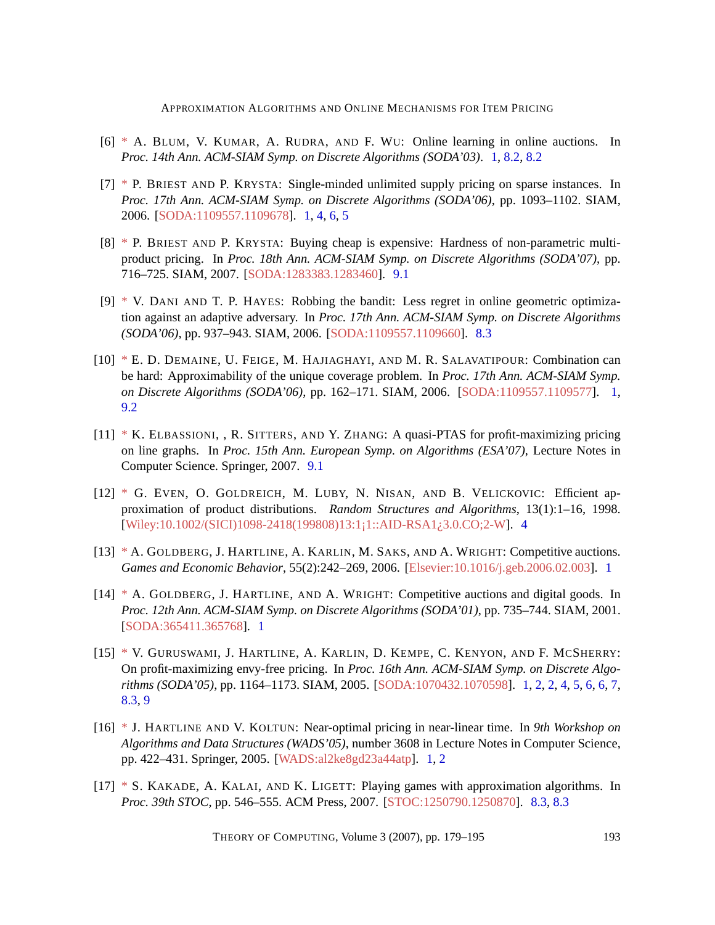- <span id="page-14-6"></span>[6] [\\*](http://theoryofcomputing.org/articles/main/v003/a009/bibliography.html#BKRW) A. BLUM, V. KUMAR, A. RUDRA, AND F. WU: Online learning in online auctions. In *Proc. 14th Ann. ACM-SIAM Symp. on Discrete Algorithms (SODA'03)*. [1,](#page-2-0) [8.2,](#page-10-2) [8.2](#page-10-3)
- <span id="page-14-3"></span>[7] [\\*](http://theoryofcomputing.org/articles/main/v003/a009/bibliography.html#BK-06) P. BRIEST AND P. KRYSTA: Single-minded unlimited supply pricing on sparse instances. In *Proc. 17th Ann. ACM-SIAM Symp. on Discrete Algorithms (SODA'06)*, pp. 1093–1102. SIAM, 2006. [\[SODA:1109557.1109678\]](http://portal.acm.org/citation.cfm?id=1109557.1109678). [1,](#page-1-0) [4,](#page-4-0) [6,](#page-7-0) [5](#page-8-0)
- <span id="page-14-10"></span>[8] [\\*](http://theoryofcomputing.org/articles/main/v003/a009/bibliography.html#BB-07) P. BRIEST AND P. KRYSTA: Buying cheap is expensive: Hardness of non-parametric multiproduct pricing. In *Proc. 18th Ann. ACM-SIAM Symp. on Discrete Algorithms (SODA'07)*, pp. 716–725. SIAM, 2007. [\[SODA:1283383.1283460\]](http://portal.acm.org/citation.cfm?id=1283383.1283460). [9.1](#page-12-1)
- <span id="page-14-9"></span>[9] [\\*](http://theoryofcomputing.org/articles/main/v003/a009/bibliography.html#DaniHayesSODA06) V. DANI AND T. P. HAYES: Robbing the bandit: Less regret in online geometric optimization against an adaptive adversary. In *Proc. 17th Ann. ACM-SIAM Symp. on Discrete Algorithms (SODA'06)*, pp. 937–943. SIAM, 2006. [\[SODA:1109557.1109660\]](http://portal.acm.org/citation.cfm?id=1109557.1109660). [8.3](#page-11-0)
- <span id="page-14-2"></span>[10] [\\*](http://theoryofcomputing.org/articles/main/v003/a009/bibliography.html#DFHS-06) E. D. DEMAINE, U. FEIGE, M. HAJIAGHAYI, AND M. R. SALAVATIPOUR: Combination can be hard: Approximability of the unique coverage problem. In *Proc. 17th Ann. ACM-SIAM Symp. on Discrete Algorithms (SODA'06)*, pp. 162–171. SIAM, 2006. [\[SODA:1109557.1109577\]](http://portal.acm.org/citation.cfm?id=1109557.1109577). [1,](#page-1-0) [9.2](#page-13-5)
- <span id="page-14-11"></span>[11] [\\*](http://theoryofcomputing.org/articles/main/v003/a009/bibliography.html#ESZ) K. ELBASSIONI, , R. SITTERS, AND Y. ZHANG: A quasi-PTAS for profit-maximizing pricing on line graphs. In *Proc. 15th Ann. European Symp. on Algorithms (ESA'07)*, Lecture Notes in Computer Science. Springer, 2007. [9.1](#page-12-1)
- <span id="page-14-7"></span>[12] [\\*](http://theoryofcomputing.org/articles/main/v003/a009/bibliography.html#eglnv98) G. EVEN, O. GOLDREICH, M. LUBY, N. NISAN, AND B. VELICKOVIC: Efficient approximation of product distributions. *Random Structures and Algorithms*, 13(1):1–16, 1998. [\[Wiley:10.1002/\(SICI\)1098-2418\(199808\)13:1¡1::AID-RSA1¿3.0.CO;2-W\]](http://dx.doi.org/10.1002/(SICI)1098-2418(199808)13:1<1::AID-RSA1>3.0.CO;2-W). [4](#page-5-1)
- <span id="page-14-5"></span>[13] [\\*](http://theoryofcomputing.org/articles/main/v003/a009/bibliography.html#GHKSW-02) A. GOLDBERG, J. HARTLINE, A. KARLIN, M. SAKS, AND A. WRIGHT: Competitive auctions. *Games and Economic Behavior*, 55(2):242–269, 2006. [\[Elsevier:10.1016/j.geb.2006.02.003\]](http://dx.doi.org/10.1016/j.geb.2006.02.003). [1](#page-2-0)
- <span id="page-14-4"></span>[14] [\\*](http://theoryofcomputing.org/articles/main/v003/a009/bibliography.html#GHW-01) A. GOLDBERG, J. HARTLINE, AND A. WRIGHT: Competitive auctions and digital goods. In *Proc. 12th Ann. ACM-SIAM Symp. on Discrete Algorithms (SODA'01)*, pp. 735–744. SIAM, 2001. [\[SODA:365411.365768\]](http://portal.acm.org/citation.cfm?id=365411.365768). [1](#page-2-0)
- <span id="page-14-0"></span>[15] [\\*](http://theoryofcomputing.org/articles/main/v003/a009/bibliography.html#GHKKKS-05) V. GURUSWAMI, J. HARTLINE, A. KARLIN, D. KEMPE, C. KENYON, AND F. MCSHERRY: On profit-maximizing envy-free pricing. In *Proc. 16th Ann. ACM-SIAM Symp. on Discrete Algorithms (SODA'05)*, pp. 1164–1173. SIAM, 2005. [\[SODA:1070432.1070598\]](http://portal.acm.org/citation.cfm?id=1070432.1070598). [1,](#page-1-0) [2,](#page-1-0) [2,](#page-3-0) [4,](#page-5-1) [5,](#page-6-0) [6,](#page-7-0) [6,](#page-7-1) [7,](#page-8-0) [8.3,](#page-11-0) [9](#page-12-0)
- <span id="page-14-1"></span>[16] [\\*](http://theoryofcomputing.org/articles/main/v003/a009/bibliography.html#HK05) J. HARTLINE AND V. KOLTUN: Near-optimal pricing in near-linear time. In *9th Workshop on Algorithms and Data Structures (WADS'05)*, number 3608 in Lecture Notes in Computer Science, pp. 422–431. Springer, 2005. [\[WADS:al2ke8gd23a44atp\]](http://springerlink.metapress.com/link.asp?id=al2ke8gd23a44atp). [1,](#page-1-0) [2](#page-1-0)
- <span id="page-14-8"></span>[17] [\\*](http://theoryofcomputing.org/articles/main/v003/a009/bibliography.html#KKL07) S. KAKADE, A. KALAI, AND K. LIGETT: Playing games with approximation algorithms. In *Proc. 39th STOC*, pp. 546–555. ACM Press, 2007. [\[STOC:1250790.1250870\]](http://portal.acm.org/citation.cfm?id=1250790.1250870). [8.3,](#page-11-1) [8.3](#page-11-0)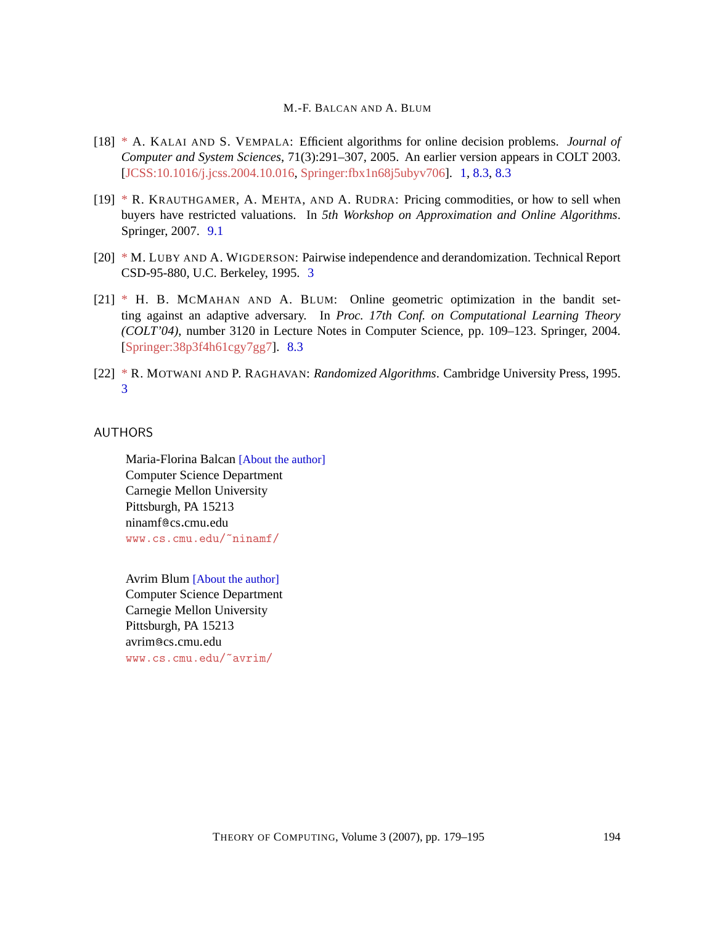- <span id="page-15-2"></span>[18] [\\*](http://theoryofcomputing.org/articles/main/v003/a009/bibliography.html#KV03) A. KALAI AND S. VEMPALA: Efficient algorithms for online decision problems. *Journal of Computer and System Sciences*, 71(3):291–307, 2005. An earlier version appears in COLT 2003. [\[JCSS:10.1016/j.jcss.2004.10.016,](http://dx.doi.org/10.1016/j.jcss.2004.10.016) [Springer:fbx1n68j5ubyv706\]](http://springerlink.metapress.com/link.asp?id=fbx1n68j5ubyv706). [1,](#page-2-0) [8.3,](#page-11-1) [8.3](#page-11-0)
- <span id="page-15-6"></span>[19] [\\*](http://theoryofcomputing.org/articles/main/v003/a009/bibliography.html#KMR-07) R. KRAUTHGAMER, A. MEHTA, AND A. RUDRA: Pricing commodities, or how to sell when buyers have restricted valuations. In *5th Workshop on Approximation and Online Algorithms*. Springer, 2007. [9.1](#page-12-1)
- <span id="page-15-3"></span>[20] [\\*](http://theoryofcomputing.org/articles/main/v003/a009/bibliography.html#LW95) M. LUBY AND A. WIGDERSON: Pairwise independence and derandomization. Technical Report CSD-95-880, U.C. Berkeley, 1995. [3](#page-4-2)
- <span id="page-15-5"></span>[21] [\\*](http://theoryofcomputing.org/articles/main/v003/a009/bibliography.html#McMahanBlumCOLT04) H. B. MCMAHAN AND A. BLUM: Online geometric optimization in the bandit setting against an adaptive adversary. In *Proc. 17th Conf. on Computational Learning Theory (COLT'04)*, number 3120 in Lecture Notes in Computer Science, pp. 109–123. Springer, 2004. [\[Springer:38p3f4h61cgy7gg7\]](http://springerlink.metapress.com/link.asp?id=38p3f4h61cgy7gg7). [8.3](#page-11-0)
- <span id="page-15-4"></span>[22] [\\*](http://theoryofcomputing.org/articles/main/v003/a009/bibliography.html#MR) R. MOTWANI AND P. RAGHAVAN: *Randomized Algorithms*. Cambridge University Press, 1995. [3](#page-4-2)

### <span id="page-15-0"></span>AUTHORS

Maria-Florina Balcan [\[About the author\]](#page-16-0) Computer Science Department Carnegie Mellon University Pittsburgh, PA 15213 ninamf@cs.cmu.edu <www.cs.cmu.edu/~ninamf/>

<span id="page-15-1"></span>Avrim Blum [\[About the author\]](#page-16-1) Computer Science Department Carnegie Mellon University Pittsburgh, PA 15213 avrim@cs.cmu.edu <www.cs.cmu.edu/~avrim/>